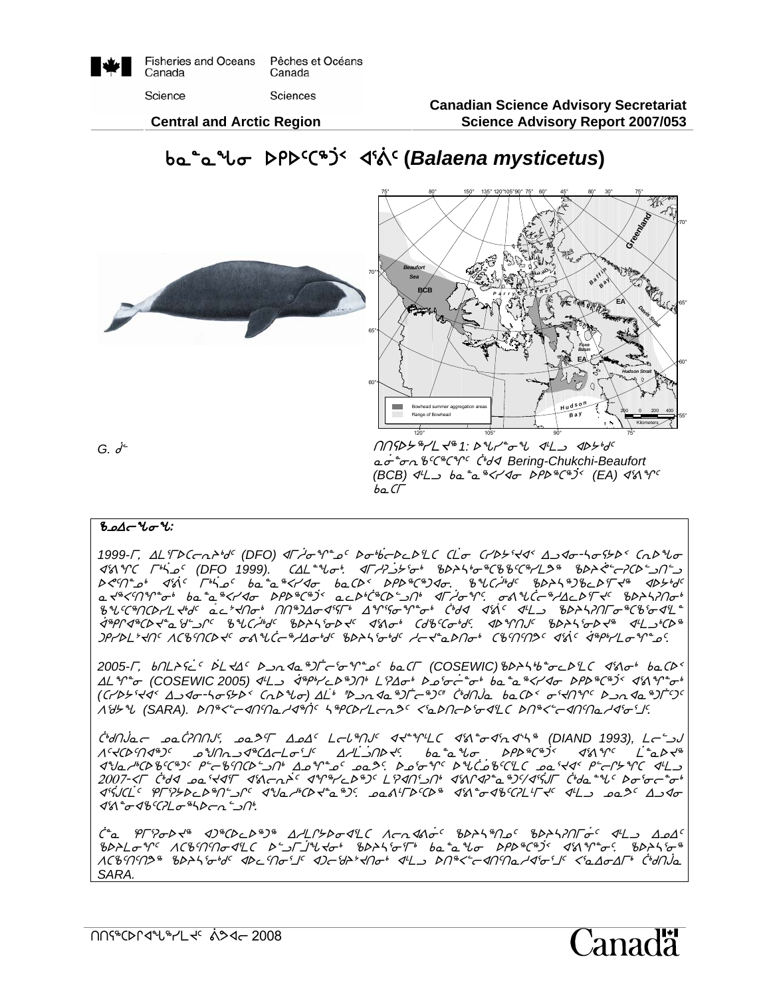

**Canadian Science Advisory Secretariat Science Advisory Report 2007/053**

anadä

 **Central and Arctic Region** 





#### **ზ⊅∂−∆**∼

*1999-L, ALTDC* $\negthinspace$ *nd<sup>s</sup>d<sup>c</sup> (DFO) <i>dF/o*\*r<sup>a</sup>ng bo\*beDeDLC CLo=CrD5'sds Ando-hofbbs CnD\*bo x3=qb u4`nk5 *(DFO 1999).* bwm8zi4. xuhD`l/3i4 cspn4i6bcc5b6ymK6 csp`?9oDbs9lt9l  $SCT^*$  $D^6$   $d^5$   $d^6$   $\overline{C}$   $\overline{D}$   $\overline{D}$   $\overline{D}$   $\overline{D}$   $\overline{D}$   $\overline{D}$   $\overline{D}$   $\overline{D}$   $\overline{D}$   $\overline{D}$   $\overline{D}$   $\overline{D}$   $\overline{D}$   $\overline{D}$   $\overline{D}$   $\overline{D}$   $\overline{D}$   $\overline{D}$   $\overline{D}$   $\overline{D}$   $\overline{D}$ NJ6X5tq8i4 vN8N6Xyxi srs6b6`g2 NMs4`b6bs9lt4 xu`hiq5. i=z`bo6hwMs3uJ5 cspnDti4  $8$ uchnathaft that actant nondations are the first that the second  $\sim$  $\dot{A}^{\alpha}\rho\gamma\mathcal{A}^{\alpha}C\mathcal{D}\prec^{\alpha}\Delta\mathcal{D}'C\quad\delta\mathcal{U}C\dot{\mathcal{D}}\delta C\quad\delta\mathcal{D}\mathcal{D}\prec^{\mathfrak{C}}\quad\mathcal{A}^{\mathfrak{C}}\Lambda\sigma^{\alpha}\quad\,C\mathcal{B}^{\alpha}C\sigma^{\alpha}\mathcal{D}'C\quad\quad\mathcal{A}\mathcal{D}^{\alpha}\gamma\gamma\gamma\mathcal{U}C\quad\delta\mathcal{D}\mathcal{D}\prec^{\mathfrak{G}}\quad\mathcal{A}^{\mathfrak{L}}\lrcorner^{\alpha}C$  $J$ PrbL'+n<  $\Lambda$ CBMCD+<  $\sigma$ AUC $\sigma^*$ Ao+d< BDAS  $\sigma^*$ d<  $A\sigma^*$ aDn $\sigma^*$  CBMM2<  $\sigma^*$ As<br/>( $\sigma^*$ 

 $bo$   $\Gamma$ 

2005-*Γ*, bnL>sic bL<4c b a a<sup>s</sup>)Γ c o <sup>qn</sup> o baCΓ (COSEWIC) bb>5b c bLC d'a o baCb <u>AL Y+o (COSEWIC 2005) IL and and alight has been been been been alighted as y</u>ook *(C/D>{<3< Δ 3do-hof>b< CnD<sup>q</sup>bo) <u>AL</u>i "D >n <da "a)t<sup>-a</sup> sum cida baCD< of<niqc D >n <da "a)tisc* Wd/z *(SARA).* st6X9oxt5tNhx6`t5 n6rbsymoEK5 X3Nstos3ix3mb st6X9oxt5tNhx3i3j5.

`C'UN)^a and C'UNN', and I'LASA' LauthOur Adin't Catao a'na'na'in (DIAND 1993), Lainu<br>A' d'Any ann an Dan A' Carlon an An Andari ann an a' Uor a' DPD <sup>s</sup>C'<sup>s</sup>D' a' A' A' C'and  $ba^a a^b b \sigma$ ,  $\Delta P b^a C^b$ <sup>3</sup>  $\Delta$ 30 $\gamma$ <sup>c</sup>  $\angle a^a b \gamma^a$  $x^3y$ <sub>4</sub>  $x^4y^2 + y^3 + z^6y^3 + z^6y^2 + z^6z^3 + z^3z^2 + z^3z^2 + z^4z^3 + z^3z^2 + z^4z^2 + z^3z^2 + z^4z^2 + z^3z^2 + z^4z^2 + z^5z^3 + z^6z^2 + z^7z^2 + z^8z^2 + z^6z^3 + z^7z^2 + z^8z^2 + z^7z^2 + z^8z^2 + z^7z^2 + z^8z^2 + z^7z^2 + z^8z^2 + z^7z^2 + z^8z^2 + z^7z^2 + z^8$ 2007-<Г C\*d<1 معى نيا الأكسيم المكتب المكتب المكتب المكتب المكتب المكتب المكتب المكتب المكتب المكتب المكتب الم  $\mathcal{A}^{r} \mathcal{A} \mathcal{A} \mathcal{A} \mathcal{A} \mathcal{A} \mathcal{A} \mathcal{A} \mathcal{A} \mathcal{A} \mathcal{A} \mathcal{A} \mathcal{A} \mathcal{A} \mathcal{A} \mathcal{A} \mathcal{A} \mathcal{A} \mathcal{A} \mathcal{A} \mathcal{A} \mathcal{A} \mathcal{A} \mathcal{A} \mathcal{A} \mathcal{A} \mathcal{A} \mathcal{A} \mathcal{A} \mathcal{A} \mathcal{A} \mathcal{A} \mathcal{A} \mathcal{A} \mathcal{A} \mathcal{A} \$  $d^sA^* \sigma d^sCBL \sigma^{s}bC \tau \gamma^{s}D^s.$ 

C<sup>+</sup>a PFPoD+<sup>%</sup> 4)\*CDcD\*)\* AALP*Do4LC Aca4Ao<sup>c BDAL\$</sup>No<sup>c BDAL</sup>NTo<sup>c</sup> 4L3 ApA<sup>c</sup>* cspmiq5 Wbc5t5tix3mb s9lu`jzJi4 cspn3i3u4 vN8Nzi srs6b6`g2 x3=q8i5. cspn3i6  $\Lambda$ CBMN3<sup>8</sup> bDAStotd<sup>c</sup> ADCMo<sup>s</sup>JC ADCtD2tAnot AL DN&CCANDa/AtoSJC <5aAoAFt CtdNja *SARA.* 

ttC6bsQxz6ymJ5 `=Kxo 2008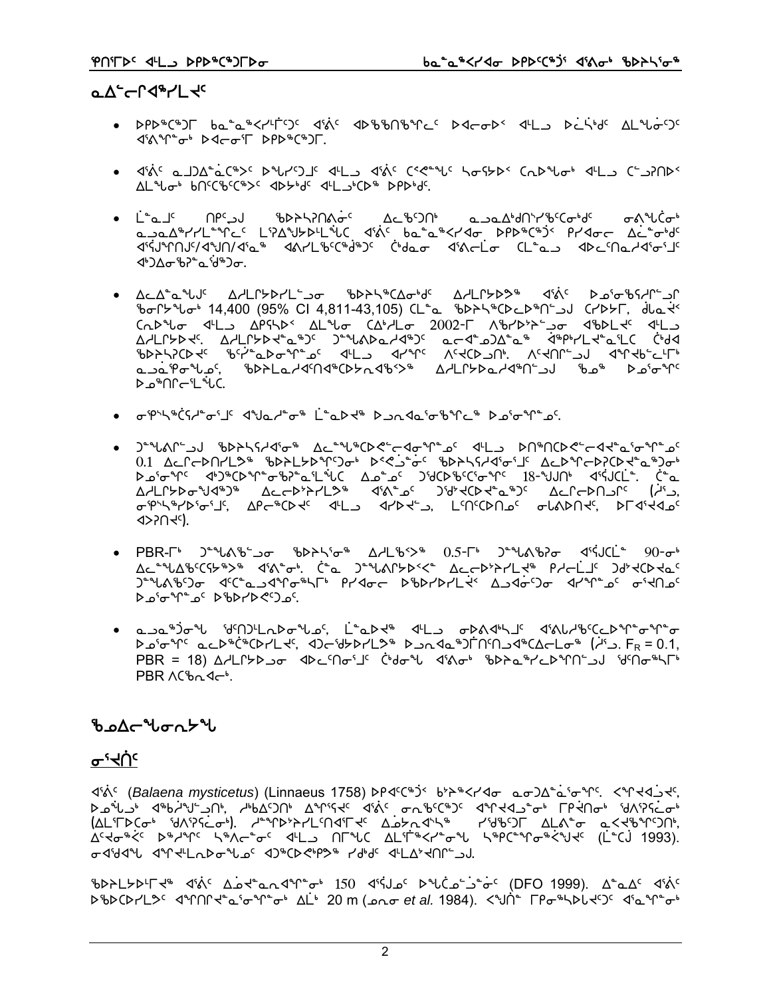#### **aA-CL4+L4c**

- DPD®C®JF ba<sup>s</sup>a®<r4FSC d&C dD%%N%McC DdcoD< d4Lb DelskdC AL%oSC d'A<sup>ne</sup>ot D4co'l DPD<sup>\$</sup>C"JL.
- ﴿ ﴿ وَإِلَى الْمَالِحِينَ ﴾ [الله عنه الله عنه الله عنه الله عنه الله عنه الله عنه الله عنه الله ع
- ᠂ᅟᅟᆣ<sup>╺</sup>ҩᆜ<sup>ᡕ</sup>ᅠᅟ᠓ᠻ<sup>ᡕ</sup>ᠴ᠍ᡕ᠂᠄᠋᠍᠊᠂᠍ᡃᡖᢂᠡᢃ᠕ᢤᠥ<sup>ᡄ</sup>᠂᠂᠘ᡄ᠍ᡃᡖ᠑᠓ᡃ᠂᠂᠂ᡆᠴ᠋ᡉ᠘ᡃᢦ᠓ᢣ᠘ᡃᡖ᠍ᢗ᠊ᢁ<sub>ᡃ</sub>ᡆᡕ ᠊ᡒ᠋᠍᠍᠍ᠺ<sup>ᢌ</sup>ᡰ᠘ᡬ᠋*ᢐ* α ραλεγγι<sup>ω</sup>νής Γραγμαρινώς ακός ραθαρεγγίας αρμετρός ριασίους τους ᡏ᠄ᢥᢋ᠑᠂ᡘ᠅᠕᠕᠕ᡧ᠉᠂᠂᠓ᡔ᠅ᢥ᠉ᡗ᠂᠂ᡬᢦᢂᡁᡔ᠅ᡁ᠗ᡔ᠅ᢥᠾ᠆ᡫᢆᠣ᠃᠓ᡰ᠅ᢥᡳ᠆ᡫᢆᠣ᠃᠓ᡰ᠅ᢥᠾ᠘ᢉ᠓ᢣ᠓᠅ᡗ <u> ᡧ᠋᠋᠔</u>᠘᠀᠖᠘᠅ᡁ᠉᠑ᡋ
- 5 % 6/5 % 14,400 (95% CI 4,811-43,105) (L<sup>a</sup> % 6 % 6/5 % 6/6 % 6/6 % 6/6 % 6/6 % 6/6 % 6/6 % 6/6 % 6/ مےم<sup>ْ 1</sup>9ھ<sup>ال</sup>ے تھے کہ اس کا انگرام کے اس کا انگرام کے انگرام کے انگرام کے انگرام کے انگرام کے انگرام کو انگرام ا م®∩∩⊸ا °بار
- للملك المستقامة المستقامة المستقامة المستقامة المستقامة المستقامة المستقامة المستقامة المستقامة المستقامة المستقامة
- )<sup>≏</sup>"\\&Ր՟\_ుJ ჼbÞჁ\ናሥ∢ჼσ՟® ∆⊆՟\*\\*CÞK°՟←◁σో\՟൧<sup>໒</sup>՟֏՟\_♪ ϷႶ\*ՈCÞK°՟←◁⊀՟ҩ<sup>෭</sup>٬<del>៰</del>՟Ր՟ֈ֎՟ **ڰ**ؽ؋ۄ؇ؖۯٵ؆ۥۮڸٵٷٵؿ؆ۄ؇ٵ؆؆؋ٵ؆؇؋؇؆؇؇؇؇؇؇؇؇؇؇؇؇ٷ۩ **4>PORY**
- PBR- $\Gamma^{\flat}$  ) \*\*  $\Lambda^{\flat}$  ) =  $\sigma$   $\Lambda^{\flat}$   $\sigma^{\flat}$   $\Lambda^{\flat}$   $\Lambda^{\sharp}$   $\Lambda^{\sharp}$   $\Lambda^{\sharp}$   $\Lambda^{\sharp}$   $\Lambda^{\sharp}$   $\sigma$   $\Lambda^{\sharp}$   $\Lambda^{\sharp}$   $\Lambda^{\sharp}$   $\Lambda^{\sharp}$   $\Lambda^{\sharp}$   $\Lambda^{\sharp}$   $\Lambda^{\sharp}$   $\Lambda^{\sharp}$   $\Lambda^{\sharp}$   $\Lambda^{\sharp}$   $\Lambda^{\sharp}$   $\Lambda^{\sharp}$ Δc " " Δε " " A' A' A' A' A' A' C " A' AC A' AC A' A' A' A' A' A' A' A' A' A' A' A' C A' C A' C A' C A' C A' C  $P \circ P^{\circ} \circ P^{\circ} \circ P^{\circ} \circ P^{\circ} \circ P^{\circ} \circ P^{\circ} \circ P^{\circ} \circ P^{\circ} \circ P^{\circ} \circ P^{\circ} \circ P^{\circ} \circ P^{\circ} \circ P^{\circ} \circ P^{\circ} \circ P^{\circ} \circ P^{\circ} \circ P^{\circ} \circ P^{\circ} \circ P^{\circ} \circ P^{\circ} \circ P^{\circ} \circ P^{\circ} \circ P^{\circ} \circ P^{\circ} \circ P^{\circ} \circ P^{\circ} \circ P^{\circ} \circ P^{\circ} \circ P^{\circ} \circ P^{\circ} \circ P^{\circ} \circ$
- ௳ℶℴၗ⅁՟℀ℳ՟℀ℿℨℾℾ℺ℱℋℸℭℳ℻℻ℯℳℲℒℱℳ℻ℳ℻ℎℒℳℳ℻ℎℋ℮ℳ λ 2'σ<sup>3</sup>Γ' ac D<sup>\$</sup>CD7L t', <De Uzb7L2\$ D an <a DFN'Π(Ω -4 CA e L σ<sup>\$</sup> (A' ). FR = 0.1,  $\mathsf{PBR} = 18$ )  $\Delta \mathsf{ALC}$ לבור של האבירו לילה מינו לינות של האפיי לולה לינות האירו האירו האבירו הא  $PRR$   $\Lambda$  $h \Lambda$   $\Lambda$  $\Lambda$ <sup>b</sup>

#### ჼᲮഛ൷ႱჾჀ⊁ჼႱ

#### ᡒᡃᡳᠿᢈ

d' N (Balaena mysticetus) (Linnaeus 1758) DP<16"> b>Sk<2<do ao)Δεά'σης. <Υ<43<5 G-484% 44-CLADG NOC 404CDC+PD Pdbdc 4LA2-CNC-0J.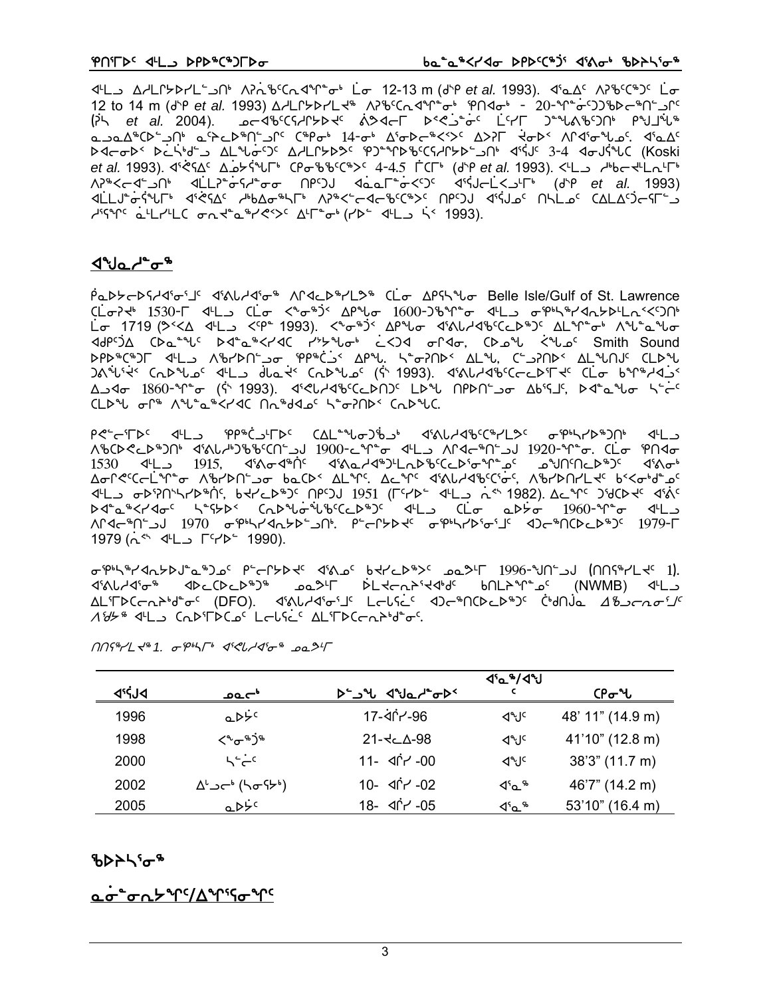x7ml whmQ/sym9lt4 WD`Ec5bExq8i4 `mi 12-13 m (f{r *et al.* 1993). x3Nw5 WDc5b6g5 `mi 12 to 14 m (f{r *et al.* 1993) whmQ/symJ6 WDc5bExq8i4 etxi4 \_ @)\_q8`i5ggcso6t9lQ5 G`Dn *et al.* 2004). koxc5bChQ/sJ5 `=Kxou s}?`l8`i5 `m5yu g8z=c5gt4 raj`z6 NlNw6bs9lt4 N5pMs6t9lQ5 b6ri4 !\$\_i4 w3iso6X2S5 wSDu `Jis2 WQx3izk5. x3Nw5 storal side of the Casis of the CSAFAL with the CSAFAL with the CRS (Koski *et al.* 1993). x3`?Cw5 w`k/`Czu4 bricc5b6S5 \$\_\$.% `ubu4 (f{r *et al.* 1993). X7ml h4voJ7mE7u4 WD6Xox9lt4 x`mmD8`iCh8ii tr5gA x`NNu8`iX5g5 x3`CAo`mXl7u4 (f{r *et al.* 1993) x`mmA8`i`Czu4 x3`?Cw5 h4vwi6nu4 WD6X9oxoc5b6S5 tr5gA x3`CAk5 tnmk5 bwmw5`goCu9l h39C a4LA4C on talks at the CHP in the SP3.

#### ⊲°⊍⊾⊿°∽

PODYCDSI45 The 45NU45 of AP4CD81LD8 CLo AP5 AP5 Belle Isle/Gulf of St. Lawrence CL o7 + 1530- T4L CL o < " o ")< AP " 000-26" o 4L o p" + "14n5PL << 90" Lσ 1719 (>KΔ d4L)KP\*1993). Kʰσ\*)K ΔΡʰԽτ dˤδιι dˤ6kJol>\*)K ΔLʰՐ\*σʰ Λʰl\*olʰlσ rt band in the Namal of Ash of the Machine Server in the Sound of the Sound ideas. د كمان ف<sup>40،</sup> Smith Sound i srb&C&JL dtL A&PbCido PP&Cis APL. StoPNDs ALL, CtaPLS ALLOUS CLD and the Cabil of the decession of the case of the control of the cliption of the cliption of the decession of t لك 1860- 1°<sub>0</sub> (\* 1993). 41°45' (كامكان للمعنى العامل العامل العامل المعنى العامل المحمد المعنى العامل المعنى ا  $CLD^4L$  on  $\Lambda^{4}L^{2}a^{4} < 1$  naid  $\Lambda^{4}d$ de  $\Lambda^{2}$ o?n $D^{2}$  Ca $D^{4}LC$ .

r?9o3us5 x7ml er6`bl7us5 bwm8zig`cl4 x3=Zhxc5b6ymK5 ie4nys6gt4 x7ml WGCA ~\$P^+029 UC1%LA & CLG+9DtV GCT+D-00-C UC1 UC1%DtV UC1%DtV ASDA . CLG+9NtyDtV 1530 <L\_ 1915, <6^+ 4^{\display}{\display}\the Section of Aries and The Sample Astessor A Section A wiQ?5bo`mq8i Wcyst9li vNbs2 wmq5. wMq5 x3=Zhxc5b3`i5, WcystymJ5 v2Xi4f8k5  $X^{\mu}$  or  $Y^{\mu}$  is a lett of  $Y^{\mu}$  is the  $Y^{\mu}$  is the  $Y^{\mu}$  is the  $Y^{\mu}$  is the  $Y^{\mu}$  and  $Y^{\mu}$  and  $Y^{\mu}$  and  $Y^{\mu}$  and  $Y^{\mu}$  and  $Y^{\mu}$  and  $Y^{\mu}$  and  $Y^{\mu}$  and  $Y^{\mu}$  and  $Y^{\mu}$  and  $Y^{\mu}$  an stand of the state of the state of the state of the state of the state of the the the state of the t WAG\$U` 30th 1970 of the 1979-L Pic-Labe of the Aperalistic 1979-L  $1979$  ( $\dot{h}$ <sup>ch</sup>  $4^{\text{L}}$   $\Box$   $\Gamma$ <sup>c</sup> $\gamma$  $\triangleright$   $\degree$  1990).

 $\sigma_{\rm s}$ be/er/dr spyce/sabsols reflext reflext reflext reflext reflext to the space of the space  $\sigma_{\rm s}$  $\mathcal{A}_{\mathcal{X}}\cap\mathcal{A}_{\mathcal{Y}}\cap\mathcal{A}_{\mathcal{Y}}\cap\mathcal{A}_{\mathcal{Y}}\cap\mathcal{A}_{\mathcal{Y}}\cap\mathcal{A}_{\mathcal{Y}}$ AL'TDCULP'd'oc (DFO). <a'Allyd'oc'J' LUSL' <br/><>
AllyDCULP')< C'HOLO A'BJCAOfJ' 184% SLL COD'TDCo<sup>c'</sup> Louses AL'TDCont<sup>1</sup>d<sup>e</sup>os.

|       |                                                      |                      | <b>J'a<sup>8</sup>/ J'U</b> |                  |
|-------|------------------------------------------------------|----------------------|-----------------------------|------------------|
| disib | _ەص⊂                                                 | <b>D-JH JHLA-0D-</b> |                             | ርቦԺህ             |
| 1996  | $a\triangleright\dot{\triangleright}c$               | 17-40-46             | ⊲শ্য⊂                       | 48' 11" (14.9 m) |
| 1998  | $\zeta^{\alpha} \sigma^{\kappa}$ ১৭                  | $21 - 5 - 98$        | ⊲৸ৢ৻                        | 41'10" (12.8 m)  |
| 2000  | $L \rightarrow L$                                    | $11 - 100$           | ⊲৸ৢ৻                        | 38'3" (11.7 m)   |
| 2002  | $\Delta^{\iota} \lrcorner \mathsf{c}^{\iota}$ (hofb) | 10- ≺ו^ -02          | ⊲'ດ_"⊳                      | 46'7" (14.2 m)   |
| 2005  | a D <sup>ic</sup>                                    | 18- ≺ו^ץ -05         | ⊲'∿ີ                        | 53'10" (16.4 m)  |

nns<sup>4</sup>/L x<sup>4</sup> 1. *o* p45<sup>p</sup> ssel/so<sup>4</sup> pa<sup>24</sup>

#### ზϷ⋗ᢣᡲ᠍ᡉ᠊ᡑ

ዹኇ፞<sup>ኈ</sup>ኇሒ<sup>ዾ</sup>ጞጜጞጞጜኇ<sup>ዺ</sup>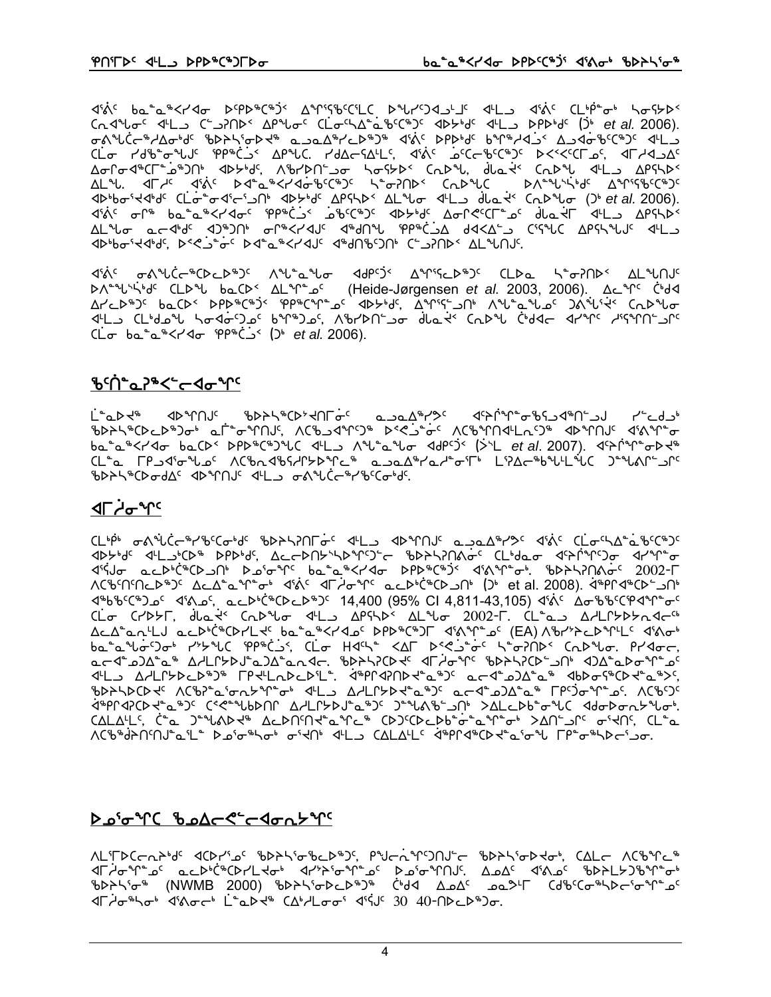*Δελς ba<sup>n</sup>a\*<r/a bspb\*C\*)< Δηιςβεςι***LC** bnrsdants *d*tLa dinc CLip- b hostb>< Cn 4 th - C - 2006). Ch 4 th - C - 3206). Cn 4 th - Cn 4 th - Cn 4 th - C - 3206). ᡨ᠑᠂᠂᠂᠂᠂᠂᠖ᢣ᠘ᢐ᠑᠂᠂<br>ᡉ᠑᠂ᡆ᠆᠉ᢣ᠑ᡒᢀᡆ᠖ᡛᢄᢣ᠅᠕᠅᠀᠅᠕᠅᠕᠅᠀᠅᠀᠅ CL 74% - 2014 - 2023 - 2024 - 2024 - 2024 - 2024 - 2024 - 2024 - 2024 - 2024 - 2024 - 2024 - 2024 - 2024 - 202 ΔσΓσ<Ι<sup>®</sup>CΓ<sup>°</sup>-2<sup>®</sup>)Π<sup>β</sup> <ΙΙΣΒβς, Λ<sup>®</sup>ΓΙΣΠ<sup>ε</sup>-2σ hστελες CΩΣεν, dla+ς CΩΣεν <ΙΕ-2 ΔΡΓΗΣς <u> ۱۹۲۸ ملی</u> در مسلم است که در سور است که است که است که است که است است که است که است که است که است که است که است *P<sub>r</sub>Pressure of Patence And Controll* Component Component Component

ᡏᡃᡬᡕ᠋ᢩ᠂ᡋ᠋᠕ᠰ᠘᠆ᡩᢉᡉᡄᢂ᠘᠂᠕ᢞᡁᡈ᠌ᢩᠰ᠋ᡉ᠂᠂ᡏᠾᢄ᠂ᡗᢋᠾᢄ᠂ᡗᡮᠾ᠗᠂ᡗᡮᠾ᠘᠂ᡗᡮ<br>᠂᠋ᢂᡁ᠉᠂᠘ᡁ᠉ᡁ᠉᠂ᡘᡮ᠅ᡁ᠅ᡁ᠐ᡫᠾ᠉ᡫ᠖ᡁᢂᡁ᠅ᡁ᠐᠐᠐ᡍ᠐ᢣ<br>ᡘᠰ᠅ᡰ᠅ᡰ᠀᠂᠘ᡄ᠉ᡏ ∆۲حك<sup>ه</sup>)٬ لمورك٬ A9که های تومین٬ A9۲هار به تومین می که به دارای مهمه می کم به نظر می کم به نظر می کمه به می<br>۱۲۰ میلادی که به این مورد که به این که به این می که به این مهمه به این مهمه به این می که به این می که به که به<br>۱  $(L\sigma$   $ba^a^b < r$ < $d\sigma$   $PP^b$  $\dot{C}$   $S$   $(D^b$  *et al.* 2006).

#### **፟**Ⴆ<sup>ϲ</sup>Ⴖ҅<sub>҇</sub>҇ҩ<sup>℩</sup>ჼ<՟᠆⋖<del>ℴ</del>᠂ᠾ

᠘ᢆ᠂᠊ᢁᢧᠫ᠕᠂᠂᠂ᠾ᠈ᡶ᠐ᡒᢀ᠂᠂ᠾᢂᢣ᠓ᢆ᠅᠂᠂᠗᠆᠈ᢍ᠘ᢠ᠀᠅᠃᠀᠅ᠰᡤ᠓ᠱᢀᡫ᠅᠗ᠱ᠅ᠾ᠅᠗᠅᠔᠆᠂᠂᠂ **ჼ**Ხ⋗ት\ჼርϷϲϷჼϽჾჼ ҩℾ៎ⅇϓႶͿϚͺͶϹჼϧͻϤϓϚϿჼ ϷʹϚϿͼͼϚϓϹჼϧϓႶϥͲϲϭϿჼ ϥϷϓႶͿϚͺϥʹϗϒͳͼ ba<sup>n</sup>a<sup>n</sup><r<dobal> bacd<br <br <<<d></b><</dobal></dobal></dobal></dobal></dobal></dobal></dobal></dobal></dobal></dobal></dobal></dobal></dobal></dobal></dobal></dobal></dobal></dobal></dobal></dobal></dobal></dobal></dob <u>CL- C PudioNus ACbadbidPxPics abadsderis LiAC-bulliuC Jenanisc</u> EXPASSER COMPANY AND SUPPORT STANDERS

#### ⊲୮ᢣᢅ**ᡒ**ᠰ᠌

Δ''SJσ acD'C'"CDJN' Do'σ'M' ba'a"Kr'4σ DPD"C"J' d'A'M''σ'. 'bDAL?ΠΑσ' 2002-Γ <4bbc(+)oc <16.oc, acD+C+CDcD+)c 14,400 (95% CI 4,811-43,105) <6c Δσθθείφανησι CL T CHOST, dlat CADU dls APSAD ALUT 2002-F. CL as AHLPSDSAd ALA<sup>2</sup>an<sup>4</sup>LJ acD<sup>6</sup>CD7L + ba<sup>2</sup>a<sup>6</sup>K74ac DPD<sup>%</sup>C<sup>%</sup>JF 461°C (EA) Abr'>>cD°TL 4610+  $ba^*a^*b\sigma^c$ ) $\sigma^b$   $r^*b^*bC$   $9P^*c^2$ ,  $C\dot{L}\sigma$   $Hd^c$ ,  $\Delta\Gamma$   $D^c\zeta^2\dot{\sigma}^c$   $\zeta^* \sigma$  $70$  $D^c$   $C\Lambda D^c$  $b\sigma$ .  $P^*d\sigma\sigma$ , ملاطائه المسلم المسلم المسلم المسلم المسلم المسلم المسلم المسلم المسلم المسلم المسلم المسلم المسلم المسلم المس<br>مسلم المسلم المسلم المسلم المسلم المسلم المسلم المسلم المسلم المسلم المسلم المسلم المسلم المسلم المسلم المسلم ᡏᡃĹᠫ᠂ᡏᠰᠾᡶᠾᡗᡕ᠐ᠢᢞ᠐᠂ᡫᠰᠰ᠘ᡗᢄᡗᢣ᠅ᢥᠾ᠕ᢣᢔ᠅ᢢ᠕ᢣᢋᠰ᠅ᡯᠾᢂᡁᠵᢋ᠉ᡫ᠂ᡩᠾᢂᡁᠢ ᠍ᡃᡋᢂᢣᠲᢂ᠐ᢣᢞ᠕ᢗᡋᡒ᠋ᢆ᠊᠘᠄ᠤ᠊ᡊᢣᢞᡗ᠊ᢐ᠋ᡰ᠂ᡏᡃᡰ᠌ᠴ᠂᠘ᢣᡌᡗᢣᢂᢣᡆ᠉᠈ᠻ᠂᠌ᡆᡄᡏ᠋ᠴ᠑᠘ᡱᡆ᠉᠂᠌ᡗᠻᡃ᠀ᢆᠵ᠂ᡊ᠄᠕ᢗ᠖ᡃ᠀<sup>ᡝ</sup> ᠯ᠉᠋ᠹᡗᢦᠯᢗᢂᢣ᠆ᢆᠴ᠉᠈ᡕ᠋ᢗᢞᡳ᠆ᠰᡁᢂ᠓᠂᠘ᢣᡌᠷᢂᠴ᠉᠂᠈᠆ᠾᡐᢔᢄᢣ᠐ᠰ᠂ᢣᡌᡏ᠆᠀ᠾ᠈ᢓᡯ᠘ᠲ᠙ᡩᡅ᠘᠂᠀ᡇᢂᠳ᠅  $CALALC, C^a$  ) that ALDNM tand (D) CD LDb of a T of An of the CL a ᠕ᢗ᠊᠍ᡃᢐᡃᢦ᠍᠍᠍᠍᠔ᠲ᠘ᢞ᠘᠆᠂ᡗᠴ᠖ᠴ᠉ᢣᡒ᠉ᡕᢞᡳᢂ᠘᠘᠘᠘᠘᠘᠂᠕ᢄ᠀᠂ᡗᢋᢂ᠂ᡘᡧ᠐ᡁ᠗᠂ᡘᡭ᠓᠂ᡘᢗᢓᢌ᠅ᡗᡉ᠉ᡫ᠉᠂ᡗᢉᢓᢜ᠉ᡫ᠉

#### ᢂ᠊ᡃᢞᠢᢄ᠂ᢞ᠘ᢍ᠘ᡕ᠆ᢄᢣᢁᠩᡔ᠉ᡗ

ᠰᡄᡃᠮ᠌ᡅᢄ᠆᠇ᡳᢣᡃᢦᡏ᠂ᡏᢗᠣᠨᢇᡃᠴᢄ᠂ᡀᢂᢣᠲ᠈ᡦᡖᡄᢂᢣ᠑ᠻ᠂ᠻᡃᡃᠠᡄᢇᡬ᠆ᡩ᠑ᡴᡆ᠆᠂᠂ᡌᡈᢂᢣᠲ᠀ᢞᡳ᠖᠊᠂ᡌᡌᢣ᠘ᢣ᠑ᢞᠾ᠆<br>᠕᠋᠘᠂ᡌᡰᢅᢣᡉ᠆᠖᠂᠘ᢄᢣᢄᡮᢗᢂᢣ᠘ᢣᡒ᠂᠗ᠰ᠈ᢣᢄᢐᢞᠾ᠆᠖᠂᠑ᢣ᠖ᡃᡊ᠓᠂᠘᠕᠘ᢄ᠂᠂ᡗᡬ᠕᠘᠖᠂᠄ᡌᡉᢂ᠕᠕<br>᠕᠘᠄ᡗᠣ᠙ᢣᢂ᠂ᡁᢂᢂ᠐᠄᠐᠐᠐᠃᠕ᢣᢂᢣ᠅ᡉᢂ᠘᠉᠀᠅ᢆ᠂᠅᠕ᡌ᠉᠘᠅᠕᠘᠕᠘ ᡏᠮ*ᡝ*ᠣ᠋<sup>ᢔ</sup>ᡃᡪᠣᡃ᠂ᡏᡃᡭ᠋ᢦ*ᠧ*ᡃ᠂ Ĺ<sup>ᡈ</sup>᠋᠗ᢂᢣ᠂᠘ᡑᢣ᠘ᠣᠣ᠋ᡝ᠂ᡏᡃᡝ᠍ᡕ᠑᠂ᡘ᠐᠂ᡘ᠐᠆᠓ᢂ᠘᠘ᢂ᠋᠈ᡉ

 $\overline{4}$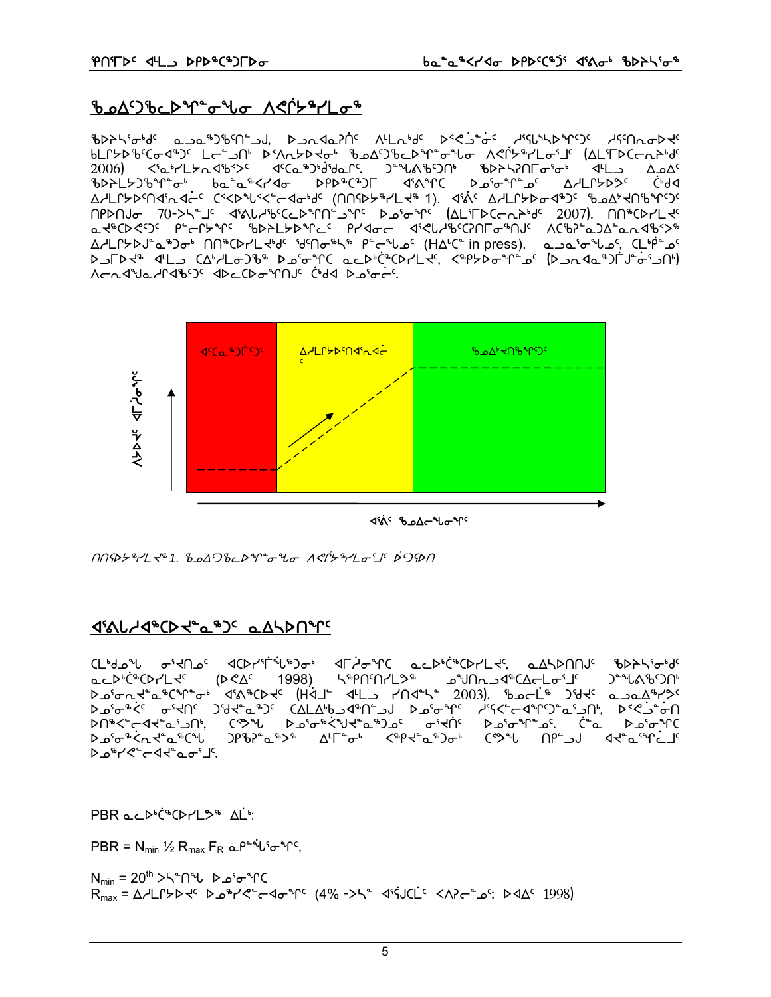#### ᡃ᠍ᡃᢐ᠌᠘᠘ᠫ᠈᠐᠂ᡑ᠉ᠾ᠆ᡑᢞᠾ᠌ᡉ᠂᠕ᡭ᠓ᢣ᠗

ᡃ᠋᠍ᡃ᠋᠍ᡋᠹᢂᡪ᠖᠂ᡆ᠆ᡆᢇᡉ᠕ᢓ᠖ᡕ᠐ᡔᢇ᠘᠂ᢂ᠘᠈᠐ᢣᡗᡳᢂᡁ᠉᠘ᡛ᠘ᡑ᠕ᡁᢂ᠂ᠾᡄ᠆᠕ᢞᢗ᠅ᡑ᠅ᢠ᠅ᡑ᠅ᡁᢂᡁ᠈ᠾ᠀ ᠍᠍᠊᠖᠘ᡗᢣᢂ᠐ᢣ᠂ᡌᡄ᠑᠂᠐ᢣ᠑ᠰ᠂᠑ᢣᢉᠵᢂᡫ᠉᠂᠗᠕ᡗᢣᢂᡁ᠘ᡗᠫᢠ᠘ᢓ**ᢞᠾ᠌ᢜᠾᡵ᠗ᢣ᠗ᢣ᠗ᢣ᠗ᢣ** 2006) <'a'r'L $\forall$ n 4'b'>< <'a'r'a'b'>< <'a'r'a'd'an<'. )^'\*La'b'<br/>>n' 'b>h\?n $\Gamma \sigma$ ' $\sigma$ ' <'a'r'La And<' Cr9⊲ Δ/LՐ৮Ϸ٬ՈϤʹռ Ϥϲ<sup>ϲ</sup>ϹʹʹϚϷʹϞͿ·ʹϚʹϲϤϭ·<sup>ϧ</sup>ͿʹͺͺϹͲϤϷϧʹͳϒϹϤʹͼͺϯͿͺͺϤʹϔʹͺϘϤϹϹϧϷϘϤϧϽʹͺͺʹϸϭϦ;*ϤͿ*ϧͶϲϽϲ በPDNJ 70->\\*\_J' d'AlJJ&CCLDMN' JM' Do'oM' (AL'IDC ndbd' 2007). NN CDYL d' at#CDECC PECLAAL PDSFLADALLE PLALE diSPLAPCSULLADIC VCPSLTSDVJUVA <u>∆\LՐ</u>≻ϷJ՟ҩ<sup>ኈ</sup>Ͻσ<sup></sup>ͱ៲ ՈՈჼႠϷՐLℲჼď՟ ՙďՈσჼℕჼ៲ <sup>ϼ</sup>՟⊂<sup>Ⴣ</sup>Ⴑ൧៝៲ (H∆<sup>៲</sup>Ϲ՟ in press). هـه۵٬۵۰<sup>۹</sup>٬۵٬ CL<sup>۱</sup>ϸ՟۵٬ AJFD معه حلال دهاملله کاهشهور محلهازهر المجرم مهاجهه شهر (کام های البه معهده) 



**J'A' BoAr Lo Y'** 

*᠓*ᡤᢂ*ᢣ᠉*᠆᠘ᡪᡃ᠉᠂1.᠂₺᠘᠘᠑₺ᡄᢂᢡᡉᠰ*ᢐ᠂᠕᠊ᢌᢉᡷ᠉᠆*᠘*ᠤ*᠋ᠮ*᠉᠑ᡐ᠒* 

#### **JIAL-JAPCD JC PALAL AND JAPC**

CL<sup>6</sup>dol o'dnoc dCDr'T il not drio nC acD<sup>6</sup>CDrLdc, aASDNNuc ibDAS io dc ឹ⊂⊳<sub>෦</sub>Հِ≉⊂D-\୮ሩ (דאסי 1998) ר≇טערן און דאר סראַגערך פֿרדיק, <u>ጋትግ</u>ሌሌ የጋበነ **Deignstate a distriber (Halt dill / 1045) 2003). Beck 26der a padh/20** ᠘᠊ᡠ᠉᠊᠅᠆᠉ᢞ᠆ᢌᢥ᠀᠆᠈ᢞᢣᢪ᠗᠅᠆᠈ᠰᢦᡃᢐᢔ᠐ᢣ᠑ᠱᡑ᠘ᡰᡌ᠌᠈ᢗᢠᠫᡱᡑ᠑᠂᠈ᡥᡪ᠅ᢛᠾᢆ᠅᠗ᡰ᠄᠊ ᠑ᠻᡃᡋᢪ᠌᠋**᠌ᠣ**ᢞ᠉᠋ᡌ᠘ᡃᠮ᠆ᢆᠣᡃ᠂᠆ᢉᡃᡰ᠙ᢞᡅᠲ᠑ᠣᡃ᠂᠆ᢆᢗᡃᡐ**ᡫ᠂᠆᠐ᠻ᠆**᠑ᡕ᠂᠂ᡏᢈᢪᢁ᠋᠄ᡨᢗᡄ᠋ **Ϸ**᠊ᢧ<sup>᠋</sup>ᢦ᠆᠋᠍᠍ᢀᡕ᠋ᡕ᠆᠆᠂ᡆ᠉ᢗᠰ 4ט "ר של בסי⊔י.

 $PBR$  ac  $D^b$ C $D^cL^b$   $\Delta L^b$ 

 $PBR = N_{min}$  1/2  $R_{max} F_R \Omega P^*$   $\psi^* \sigma^* \Gamma^c$ ,

N<sub>min</sub> =  $20^{\text{th}}$  >\\*N\*\L b  $\omega$ <sup>5</sup> of  $\gamma$ C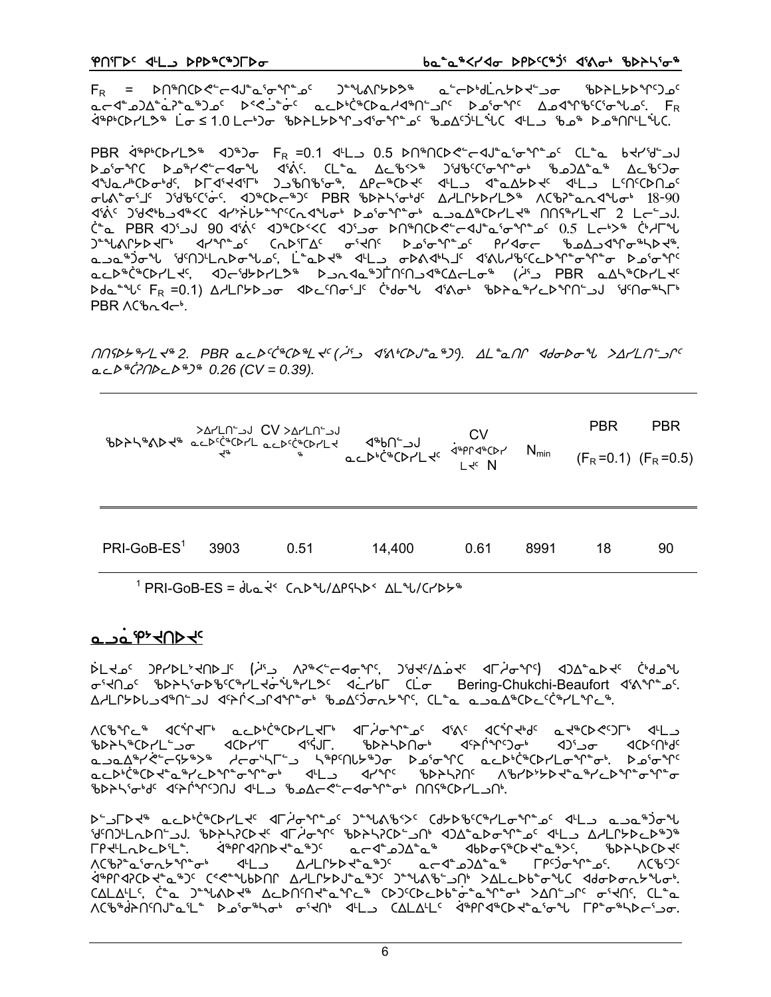$F_R = \text{PQ}^*\text{OQ}^* + \text{PQ}^*\text{OQ}^*\text{OQ}^*\text{OQ}^*\text{OQ}^*\text{OQ}^*\text{OQ}^*\text{OQ}^*\text{OQ}^*\text{OQ}^*\text{OQ}^*\text{OQ}^*\text{OQ}^*\text{OQ}^*\text{OQ}^*\text{OQ}^*\text{OQ}^*\text{OQ}^*\text{OQ}^*\text{OQ}^*\text{OQ}^*\text{OQ}^*\text{OQ}^*\text{OQ}^*\text{OQ}^*\text{OQ}^*\text{OQ}^*\text{OQ}^*\text{OQ$ محاشمكه مو<sup>م</sup>ي المالي بالمالي بالمالي بالمالي بالمالي بالمالي بالمالي بالمالي بالمالي بالمالي بالمالي المالي ال 

PBR 4<sup>8</sup>P<sup>6</sup>CD7L3<sup>8</sup> <0.3 D.1 4L -0.5 DD8DCD<"c<U"a'o"Y"as CL"a b<P'd"aJ σιλεσί 18-90 จัน่ง วันจะจัน จะว่า จันวิตาม จันวิต จันวิต จันวิต จันวิต จันวิต จันวิต จันวิต จันวิต จันวิต จันวิ C-ْ PBR لادالا 90 d'al ( 40°-05) C-20° مدالك السمرة C-40° و لدالك C-40° C-40° و C-40° و C-40° C ᠆᠂ᡶ᠕ᡗᢣᢂᢣᠮ᠉᠂᠂ᡆᠰ᠕᠂᠂᠂᠂ᢣ᠕ᢣ᠈᠂᠂᠂ᢣ᠐ᢣ᠈ᢐᠾᢣᠾᢆᢗᡄᠾᢂᢣᠾᡏ<br>᠑᠆ᠰ᠕ᡗᢣᢂᡕᢪᢂ᠂᠐ᠰ᠕ᢣᢂ᠂ᡆᢞᠰ᠖ᠻ᠂᠂᠘ᢠᢄ᠂ᠳᢂᢣ᠉᠂᠈᠆ᠰᡌ᠂᠂᠀ᠰᢂᢣ᠕ᢠ᠙ᢗᡔᢂᡁᢣ᠖ مدلكة في PBR مكام بالمحافظ المسلم المحافظ المحافظ المحافظ المحافظ المحافظ المحافظ المحافظ المحافظ ال ᢂ᠊᠆ᡩᠰ᠗᠂ᠾ᠂ᡖ᠗᠕ᡁ᠘᠘᠘ᡫ᠗ᢣ᠑᠂᠂᠐ᢣᡄ᠓ᡁ᠅ᡁᡉᡙ᠂ᠿ᠗ᢣ᠕᠂ᡧᡧᡉᢥ᠂ᡏᡑᢂᡑᢥ᠘ᡖ᠉ᠰᢕ᠅ᡁ᠗᠂ᠾ᠓ PBR ACbn4ch.

 $M_{\rm V}$  and  $M_{\rm V}$  and  $M_{\rm V}$  and  $M_{\rm V}$  and  $M_{\rm V}$  and  $M_{\rm V}$  and  $M_{\rm V}$  and  $M_{\rm V}$  and  $M_{\rm V}$  and  $M_{\rm V}$  $ACP^*(77P^* \rightarrow 0.26$  (CV = 0.39).

|               |      |      |        |      |      | <b>PBR</b> | <b>PBR</b>                  |
|---------------|------|------|--------|------|------|------------|-----------------------------|
|               |      |      |        |      |      |            | $(F_R = 0.1)$ $(F_R = 0.5)$ |
|               |      |      |        |      |      |            |                             |
|               |      |      |        |      |      |            |                             |
| $PRI-GoB-ES1$ | 3903 | 0.51 | 14,400 | 0.61 | 8991 | 18         | 90                          |

<sup>1</sup> PRI-GoB-ES = dla << Cab U/APSLD < AL U/CrDb =

#### **a**\_pa<sup>r+</sup>+nd+c

ᡠᡄᢣ᠍᠘᠌᠖᠂᠑ᠻ᠇ᢂ᠘᠈ᢠ᠕᠘᠉ᢠᢄᡔᡏᡏ᠅᠘ᢣ᠈ᢜᢄᢣᢞᠢ᠓᠅ᡆᢞ᠓ᡔ᠅ᡌᡳᢂ᠗ᢣ<br>ᢒ᠖ᡁᡔᡲ᠓ᡁᢄ᠖ᠾᢂᠷᡗᡕ᠅ᡁ᠉ᡰ᠘ᢌ᠂ᢥ᠅᠘ᢓᢄ᠂ᡘ᠅ᡰᠢᢄᢣᢄᢣᢄᢣᠾ᠅᠗ᢣ᠅᠗᠅ᡁ᠅᠗ Δ/LՐ≻ÞԵماله باسمان المسترد به المستروحة المستردين المستروحين المستروحين المستروحين المستروحين المستر

᠋<br>᠋᠕ᢗ᠊ᡃᠦᡃ᠍ᡞ᠘᠂᠋᠂᠂ᡆᢗᢞᠨ᠆ᢣ᠂᠂ᡆᡄᢂᢠᢗᢂᢣ᠘ᢣᢪ᠂᠂ᡌᡏᢣᡠᢞᠾ᠅᠘ᠻ᠅ᡁ᠅ᡗ᠅᠕ᠻ᠂᠂ᡆᢗᢤᠾᢣᢥ<br>᠕ᢗᢠ᠋᠋ᠰ᠘᠉᠂᠂᠂᠂᠂᠂᠂᠂᠂᠂᠂᠂᠆᠂ᢣᢄᢣᢄᢣ᠐ᢣ᠈ᡰᠷ<br>ᡃ᠐ᢣᢣᠰ᠉ᢉᢂ᠂ᡆᡄᢂᢣ᠅ᡁ᠉᠅ᡁᢄᢣ᠅ᢉᡁᢂᠻ ᠍<br>᠋ᡉᡄᢂᡠ᠙᠐ᢣᡆ᠋᠉ᢣ᠘ᡖ᠉ᡗᡱᠣᠰᡱᡒᠰ᠂ᢋ᠘ᡁᠵᢆᢋ᠅ᡏ᠅ᢆ᠂ᡏᠾᢂᡁ᠘ᢣ᠅ᢪᡉᢆ᠅ᡏ᠅ᢆ 

**٢٢**٠ - ٢٠٠ مار ١٩٩٧ - ٢٩٠ - ٢٩٠ - ٢٩٠ - ٢٩٠ - ٢٩٠ - ٢٩٠ - ٢٩٠ - ٢٩٠ - ٢٩٠ - ٢٩٠ - ٢٩٠ - ٢٩٠ - ٢٩٠ - ٢٩ ᠰᢉᡲᡖᢪᢛ᠆ᢅ᠆᠃<br>᠕ᢗ᠍ᡃᡋᢪ᠋ᡆ᠍᠈ᡉᡊᡔᢞᡥ᠊ᢦᡃ᠂᠂᠂ᡧ᠋᠋᠘ᢖ᠂᠃᠘᠘᠘ᡗᢣ᠍ᡅᠢᢞᢘ᠍ᠰ᠑ᠻ᠅ᢍ᠉ᢗ ᡧ᠉ᠻᡗᢦᠯᢗᢂᢣᠼ᠉᠈ᡕ᠂ᢗ᠅᠍ᡬᢌ᠆᠕ᠻ᠐ᠾ᠂ᡌᢣᠾ᠘ᢑ᠀ᡁ᠈ᡒ᠕ᠻ᠅᠑ᡁ᠈᠈ᡪ᠓᠆᠑ᠾ᠈ᢂᡄ᠀ᠾ᠅ᢂᠲ᠔ᡆᢧ᠅ CΔLΔ4LS, C-2 J-3/AD-4 ΔCDNSN-2-2 CDJSDCDCDb-0-2 2 T-0 >ΔΠ-2 C-1 CL-2 ᠕ᢗ᠋᠊᠋ᡃᢐᡃᢦ᠍᠍ᢙ᠒ᠰ᠗ᢠ᠖ᡫ᠋ᡱ᠖᠘ᢠ᠅ᠰ᠒ᡰ᠉᠂ᡩᡫ᠓᠂᠂ᡗᡌ᠘ᢣ᠘ᠻᢋ᠅ᡏ᠑ᡗᡏᡐᢗᢂᡫ᠖᠅ᡏᠾ᠗᠂ᡗᢗᢠ᠗ᡃᡗ᠇᠅ᠴ᠙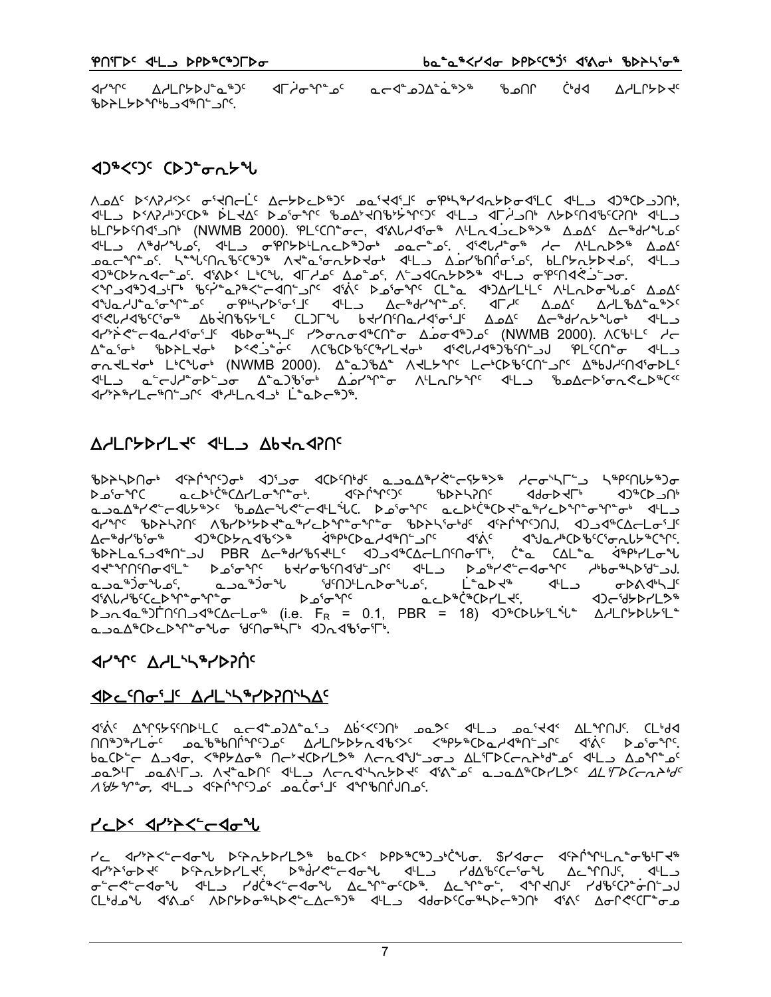⊴Γٰ~{ງື່ງເບື່ອງຕົ້ງງາ ᢦᡰᢞᠾ᠌᠂᠂᠂᠕ᢣᠾᠾᢣᢂᠾᢁᢆ᠉᠈ᡕ ⊕ ال GP (P ∆רµר) אי ზՒԴԼ≻⊳∿^ხ౨∢⊕Մ.

### **くりゃくくつく (ト) ようしょうし**

ΛΔΔ<sup>ς</sup> Ρ΄ΛλΥ<sup>κ</sup>>΄ σ<sup>ι</sup>ΚΠς <sup>Γ</sup>΄ Δς ΣΡ ΣΡ<sup>ω</sup>)ς σσιΚΔιΤς Φ. Θη Αλελοφ ΔίΓ Δης ΔηκΟλολη ᡕᡏ᠆ᢃ᠂ᢂᢣ᠑᠈ᢗᢗᡔ᠗ᢠ᠂ᡮ᠘ᢣᡌ᠅᠉᠖᠅ᢦᢞᡳ᠉ᠪ᠅ᢞᡘ᠗ᢠ᠅ᢠ᠅ᢕᢄ᠂ᡧᠮ᠑᠅᠂ᡘᡀ᠅᠕ᢣ᠐᠈ᡤ᠓᠅᠀ᠰ᠈ᡕ bLLYDS MALLYDS (NWMB 2000). PLSCN<sup>+</sup>oc, d'AllAJo<sup>6</sup> ALLAJOLD<sup>&</sup>> ADAS Ac<sup>&</sup>dr<sup>A</sup>los D®CD>rd=```0`. d'QD< L'C°\L. dFd\_o<sup>c</sup> A\_o^\_o<sup>c</sup>. A``D+QCa>D>® d'L\_o ofP°Nd<`J^\_oor. ᡕᢧᢣᢠᢆᡳ᠆ᡏᡆᢣᡏᠾ᠌ᡀ᠂ᡕᢂ᠗ᠱᡳ᠉ᡶᠾ᠅᠇᠐ᢞᡒᠾ᠘᠂ᡕᡐᡉᡊᠴᢀᡁ᠓᠂ᡗᠽᡉᡏᡐ᠑ᢓ᠂᠕ᡕᢂ᠐᠅ᡳ᠖ᡛ᠘᠂᠂ᠰ ᠣ᠌᠘ᡪ᠋ᡉᡰ᠂᠘ᢣᢗ᠊ᠰᠣᡰ᠂᠓ᡕᢂᢂ᠑᠂᠐᠐᠐᠐᠁᠘ᡱ᠘᠑ᢞ᠘ᢜ᠂᠕ᡕᡌᢣᢞᠾ᠂᠘ᡄᡃᢗᢂ᠖ᢄᢕᠢ᠆᠑ᡁ᠂᠘ᠰᢂᡎ᠑ᡄ <u>᠊</u><br>ϤᡃĹᠴ ҩ<sup>ҽ</sup>ᡄᡕᡰᢞᠦᢂᡸᠴᠣ᠂᠘<sup>ᢌ</sup>ҩ᠑᠋᠍᠍᠍ᡃᢐᡝᢦᡰ᠂᠘ᢆ᠘ᢧᢞᡥᢐ᠂᠕ᡃᡫᠷᡗᡰᢣᠰ᠋ᠻ᠂᠂ᢉᡰᡫᠴ᠂᠄᠍ᡃᡑ᠍᠘᠋ᡧᢛᠬᡭᠵᡅᢂᢞᢗ<sup>᠙</sup> לר יביר שירובים לי ביצור מלאשי לה של היא האירובים של האולים של האולי לא האירובים הא

#### A LLANTE THE AFT THRY ASUL

*ᢞ*ᡕᢂᡁ᠗ᡆᠾ᠗᠂᠂ᠾᢂᡁ᠐ᡆ᠉᠂᠂ᡘᢓᢥ᠉ᡉ᠂᠅ᡘ᠅᠕ᡢ᠘᠂᠗᠘ᡗᢜ᠓ᢠ᠀᠂᠕ᡔ᠓᠅ᡒᢄ᠆ᠻᡫ᠉ᢣ᠗᠂᠂ᡫᡏ᠌᠉ᠾ᠓ᡉ᠈᠂᠂ᡕ᠉ᢆᠻ᠓ᡰ᠉᠗ ᠊᠘᠖ᡃᠣ᠊ᠰᢗ᠂᠋ᡉ᠆᠌᠘ᡔ᠖᠖᠆᠀ᠷᢄᡢ᠙ᢄᢣ᠀ᡧᢂ᠘ᢒᢠ᠖ᢣᠾ᠉᠇᠑ᢞ᠔ᠴ᠒᠂᠀ᠰ᠖᠀ᢣᢔ ᡕ᠘ᢣ᠕ᡕᡆ᠌᠅ᠾᢂᢣ᠒ᢗ᠂᠂᠕ᡛᢂᡕᢂᢣᡗᢋ᠅ᡐᠰ᠆ᡗᡑ᠕ᠾ᠆ᡗᢣ᠅ᠲ᠀᠅ᠾ᠅ᠾ᠅ᢢᢄᠰ᠅ᢥ᠙ᡫ᠅ᢥᠾ᠅ᠾ᠅᠕᠅᠕᠅᠕᠅᠕᠅᠕᠅᠕᠅ ᠘ᡕ᠆<sup>ቈ</sup>Ძґʹᡃᡖ᠍᠍᠍ᢐ᠆ᢐ᠂᠂᠂᠂᠑ᢞᢕᢂ᠘᠀ᢞ᠘᠅᠀ᢞ᠅᠅᠅ᠱ᠙᠘᠘᠅᠗ᠱ᠅᠅᠅ᡬ᠅᠅᠅ᡬ᠅᠅᠅ᡬ᠅᠗᠅᠕᠅᠘᠅᠘᠅᠘᠅᠘᠅ ᠲᢂᢄᡄᡘᠴᢂᡃᡙᢄᡆ᠈᠂᠐᠐ᢣ᠕ᡁᢄᡁᢄᡁᢂᢑᡗᡄ᠖ᢣ᠑ᢣᡗᢜ᠓ᠳᡗᡰ᠅᠗᠘ᡄᡫ᠕ᡤ᠗ᡔᡗᡀᡉ᠐ᡫᡗᡆ᠕ᡁ᠗ᢣ᠘ᡒᡐᡁ مد4∜(ْ\*د)∨ا⊥⊬د ᠊ᡏ᠈᠋ᡭ᠕᠘᠈᠋᠍ᡉ᠁᠘᠉ᠾ᠅ᡉ ⊳ഛ°ో⊾c  $\mathcal{A}$  |  $\mathcal{A}$  |  $\mathcal{A}$   $\mathcal{A}$   $\mathcal{A}$   $\mathcal{A}$   $\mathcal{A}$  $D_{\text{u}}$   $D_{\text{u}}$   $D_{\text{u}}$   $D_{\text{u}}$   $D_{\text{u}}$   $D_{\text{u}}$   $D_{\text{u}}$   $D_{\text{u}}$   $D_{\text{u}}$   $D_{\text{u}}$   $D_{\text{u}}$   $D_{\text{u}}$   $D_{\text{u}}$   $D_{\text{u}}$   $D_{\text{u}}$   $D_{\text{u}}$   $D_{\text{u}}$   $D_{\text{u}}$   $D_{\text{u}}$   $D_{\text{u}}$   $D_{\text{u}}$   $D_{\text{u}}$  <u>᠋</u>ڡ౨ڡ᠘᠋ᢥᢗᢂᡄᢂᢧ᠆ᡒᡙᢁ᠂ᡁ᠓᠌ᡉ᠅ᠰ᠓᠂ᡊ᠗ᢞ᠕ᠾ᠈ᡆ᠑

#### **ALALC ALLAL&LDSUC**

#### **ଏ**⊳⊂′∩๛'⅃ՙ ∆**৴**Լ<sub>`</sub>\ኈY⊳?Ո`\∆ՙ

Jista Anty Stab - Abistan - Abistan - Abistan - Abista - Alland - Clida ᠓ᡥ᠑ᡃᡃᠠ᠘᠊ᠣ<sup>ᡕ</sup>᠌ᢍ᠌᠋ᠣᢧ᠖᠖ᢓ᠖ᢧᢂᡁ᠅ᠾ᠑ᡔ᠖᠂᠘᠕᠘ᡗᢣᢂᢣ᠘ᡐ᠑ᢣ᠅ᡘᡳᢂᠾᢃ᠂ᡘ᠓᠂ᡘ᠅ᡭᡳᢄᢧ᠖ᡑᢧᠾ᠓ baCD - Andr, < PYA - Andry Andry - ALTDC - Andry - ALTDC - Andry - Andry 

#### **TEDS APPASER**

᠘᠆᠆᠂ϥᡰ᠈ᢣᢄ᠆ᡕᡇ᠕᠂᠘᠆᠃ᢣ᠅᠕᠅᠕᠅᠕᠅᠕᠅<br>ᢣ᠘᠆᠂ᡇ᠉ᢣᢄ᠆᠀ᢉᢣᢂᡁ᠘᠅ᠱ᠅ᠱ᠅ᠱ᠅ᠱ᠅ᠱ᠅ᠱ᠅ᠱ᠅ᠱ᠅ᠱ᠅ᢥ᠘᠅ᠱ᠓ᡬ᠅ **ᢦ᠊**᠋ᡝᡄ᠊᠋ᡭ᠆ᡏᡆ᠉᠊ᡁ᠉ᠾ᠉ᢣ᠐ᡬᡃ᠅ᡏ᠅ᡔ᠅ᢣ᠅ᢆᢣ᠅ᢆᢣ᠅ᢆᢣ᠅ᢣ᠅ᢆᢣ᠅ᢣ᠅ᢆᢣ᠅ ᢗ᠌᠌᠌᠘ᡱ᠘ᡨ᠘᠂ᢒᢠ᠕ᠪ᠂᠂ᢉ᠐ᢗᢞᢖ᠑᠂ᡩᡅ᠗᠂᠀ᠰᡅ᠘᠂᠂᠀ᡧᠲ᠐ᢣ᠖ᡒ᠉ᡫᡅ᠘᠂᠀ᡧ᠅᠂᠕ᢠ᠗᠅᠕᠅᠂᠕ᢌᢄ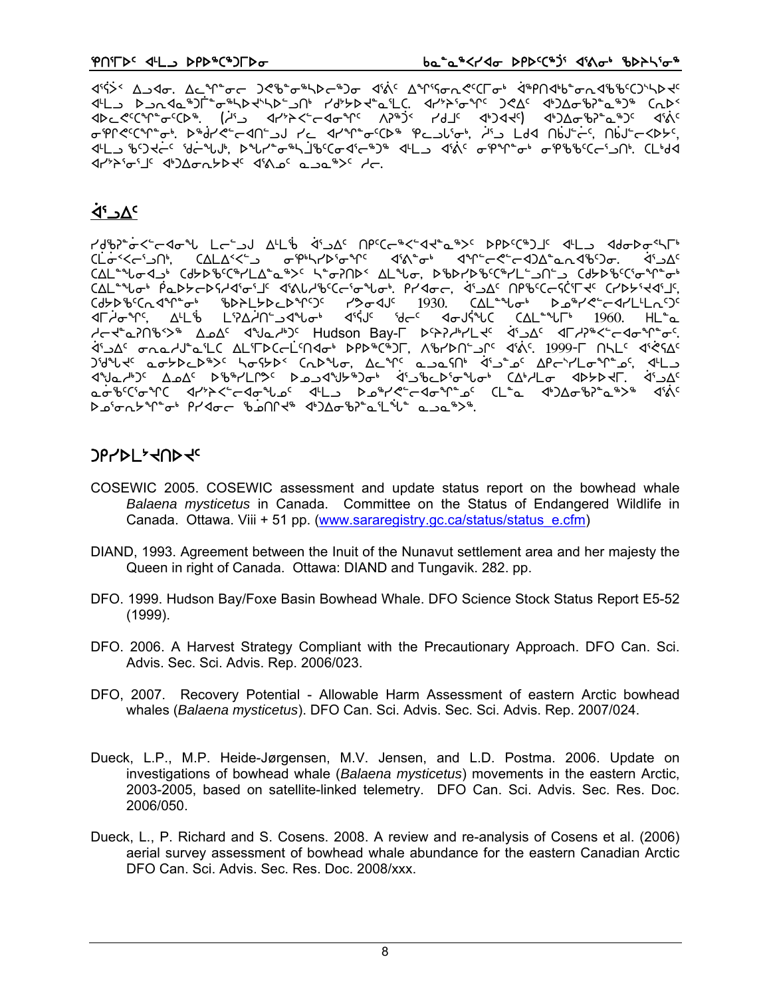ᡕᡌᡄ᠍᠂᠖᠆ᡆ᠉᠐ᡫᢩ᠍᠅ᠳ᠉ᢣ᠑ᢣ᠅ᢣ᠗ᠰ᠂᠂᠂᠕᠉ᢣ᠑ᢣᡇᢔ᠖ᡛᡗ᠃᠂ᡩ᠈ᢞ᠅ᠳ᠉ᡤ᠂᠈᠀ᢗᡌᡕ᠂ᡇ᠑ᢓᡐ᠖ᢔ᠈ᡒ᠖ᢆᢉ dbccch-ccb+. (is dry><-cdanc n>+j< rd\_c d+)dde() d+)da+b+a+)c dinc <u>᠊</u><br>ϤᡃĹ౨᠂ᡰ᠀ᢃᡩᡄᢆᡕ᠄᠋᠍ᢥᡇ᠆ᠰ᠕ᢣ᠂ᢘᠰ᠘ᡨ᠅ᡖ᠉ᢣᢋ᠅᠖ᠸᢠ᠖ᡔᡇ᠅ᡮ᠘᠉᠂᠂ᢋ᠅ᡬ᠅᠖᠉ᡧ᠅ᡒ᠉᠉᠂ᡩᠾᢂᡏ 

## <sup>א</sup>∆כ<sup>∙</sup>4

٢٩١٢-٢-٢٥٣ - ٢٩٢٢-٢٩٢٧ - ٢٩٢٢-٢٠٠٢ - ٢٩٢٢-١٩٢٢ - ٢٩٢٢-١٩٢٢ - ٢٩٢٢-٢ **CLo<sup>-</sup><
kind's deputy of the set of the set of the set of the set of the set of the set of the set of the set of the set of the set of the set of the set of the set of the set of the set of the set of the set of the set** CAL " " Lot PS-DS-DS-AG" G" A" ALL BCC " T" LOT. PLATC, A" JA" NP" CCSC"T << CLD FIA" L', Cd5DbcCndpr bDbL5DcDprSc rDodJc 1930. CALandon DobrectdrLLLnSc <u>לוֹב<sup>אָ</sup>ר סמב האר "LC ALIFDC C</u>irchdo" DPD "C" ה'הראה מ'מלה מים ה'תכון לא האר ה' מלכל ה' משלחה ה' ה ᠍ᡏᡃ᠗ᢅ᠆᠕ᢀᢕ᠆᠕ᠪ᠙᠆᠘ᠪ᠙᠆᠘ᠪᢀᠰ᠘ᡗᢓ᠅᠖ᢣ᠑ᢤ᠅᠕ᡔ᠗᠆᠄᠂ᡬ᠅᠑᠂ᡤ᠑ᢞᠾ᠆ᢠ᠅᠗᠅᠕ᢗ ᢆᢆᡄᠣ᠊᠋ᡃᢐ<sup>ᢈ</sup>ᢗᡝᠦ᠍᠍ᡩᡳ᠋᠆᠂ᢉᡰ᠈᠆᠈ᢞ᠆ᢣ᠆ᢣᠾᢜ᠘᠂ᢣᠾᢜ᠘ᢣ᠆ᢣᡆᢥᠰᡱ᠖ᢋᡉᠰᡗ᠊ᡱ᠘᠂ᡗᡫᡱ<br>᠆ᡆᡠᢂ᠋ᢉ᠅ᢐᠰ᠐ᢣᢞᠾᡮᡉᢪ᠂ᠻᡰᢂᢐ᠆᠂ᢥ᠕ᡁᢂᡃᡙ᠅᠂ᡗᡰ᠔᠘ᢐᢂᢣᠾ

## **JPYDL24UD4c**

- COSEWIC 2005. COSEWIC assessment and update status report on the bowhead whale Balaena mysticetus in Canada. Committee on the Status of Endangered Wildlife in Canada. Ottawa. Viii + 51 pp. (www.sararegistry.gc.ca/status/status e.cfm)
- DIAND, 1993. Agreement between the Inuit of the Nunavut settlement area and her majesty the Queen in right of Canada. Ottawa: DIAND and Tungavik. 282. pp.
- DFO. 1999. Hudson Bay/Foxe Basin Bowhead Whale. DFO Science Stock Status Report E5-52  $(1999)$ .
- DFO. 2006. A Harvest Strategy Compliant with the Precautionary Approach. DFO Can. Sci. Advis. Sec. Sci. Advis. Rep. 2006/023.
- DFO, 2007. Recovery Potential Allowable Harm Assessment of eastern Arctic bowhead whales (Balaena mysticetus). DFO Can. Sci. Advis. Sec. Sci. Advis. Rep. 2007/024.
- Dueck, L.P., M.P. Heide-Jørgensen, M.V. Jensen, and L.D. Postma. 2006. Update on investigations of bowhead whale (Balaena mysticetus) movements in the eastern Arctic. 2003-2005, based on satellite-linked telemetry. DFO Can. Sci. Advis. Sec. Res. Doc. 2006/050.
- Dueck, L., P. Richard and S. Cosens. 2008. A review and re-analysis of Cosens et al. (2006) aerial survey assessment of bowhead whale abundance for the eastern Canadian Arctic DFO Can. Sci. Advis. Sec. Res. Doc. 2008/xxx.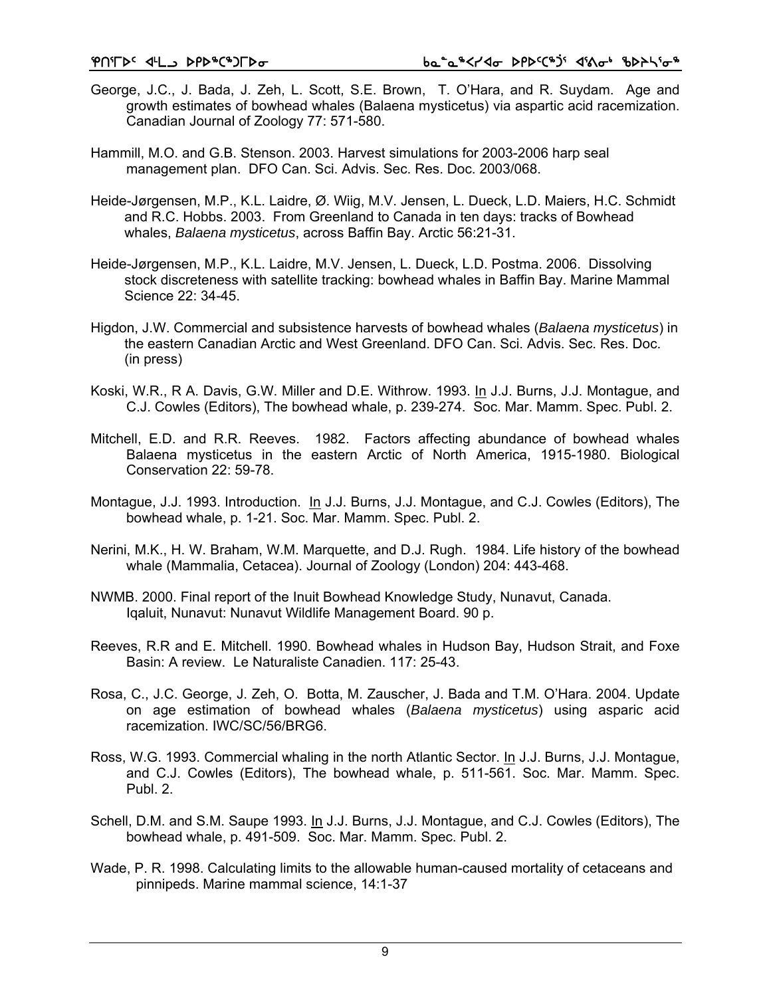- George, J.C., J. Bada, J. Zeh, L. Scott, S.E. Brown, T. O'Hara, and R. Suydam. Age and growth estimates of bowhead whales (Balaena mysticetus) via aspartic acid racemization. Canadian Journal of Zoology 77: 571-580.
- Hammill, M.O. and G.B. Stenson. 2003. Harvest simulations for 2003-2006 harp seal management plan. DFO Can. Sci. Advis. Sec. Res. Doc. 2003/068.
- Heide-Jørgensen, M.P., K.L. Laidre, Ø. Wiig, M.V. Jensen, L. Dueck, L.D. Maiers, H.C. Schmidt and R.C. Hobbs. 2003. From Greenland to Canada in ten days: tracks of Bowhead whales, *Balaena mysticetus*, across Baffin Bay. Arctic 56:21-31.
- Heide-Jørgensen, M.P., K.L. Laidre, M.V. Jensen, L. Dueck, L.D. Postma. 2006. Dissolving stock discreteness with satellite tracking: bowhead whales in Baffin Bay. Marine Mammal Science 22: 34-45.
- Higdon, J.W. Commercial and subsistence harvests of bowhead whales (*Balaena mysticetus*) in the eastern Canadian Arctic and West Greenland. DFO Can. Sci. Advis. Sec. Res. Doc. (in press)
- Koski, W.R., R A. Davis, G.W. Miller and D.E. Withrow. 1993. In J.J. Burns, J.J. Montague, and C.J. Cowles (Editors), The bowhead whale, p. 239-274. Soc. Mar. Mamm. Spec. Publ. 2.
- Mitchell, E.D. and R.R. Reeves. 1982. Factors affecting abundance of bowhead whales Balaena mysticetus in the eastern Arctic of North America, 1915-1980. Biological Conservation 22: 59-78.
- Montague, J.J. 1993. Introduction. In J.J. Burns, J.J. Montague, and C.J. Cowles (Editors), The bowhead whale, p. 1-21. Soc. Mar. Mamm. Spec. Publ. 2.
- Nerini, M.K., H. W. Braham, W.M. Marquette, and D.J. Rugh. 1984. Life history of the bowhead whale (Mammalia, Cetacea). Journal of Zoology (London) 204: 443-468.
- NWMB. 2000. Final report of the Inuit Bowhead Knowledge Study, Nunavut, Canada. Iqaluit, Nunavut: Nunavut Wildlife Management Board. 90 p.
- Reeves, R.R and E. Mitchell. 1990. Bowhead whales in Hudson Bay, Hudson Strait, and Foxe Basin: A review. Le Naturaliste Canadien. 117: 25-43.
- Rosa, C., J.C. George, J. Zeh, O. Botta, M. Zauscher, J. Bada and T.M. O'Hara. 2004. Update on age estimation of bowhead whales (*Balaena mysticetus*) using asparic acid racemization. IWC/SC/56/BRG6.
- Ross, W.G. 1993. Commercial whaling in the north Atlantic Sector. In J.J. Burns, J.J. Montague, and C.J. Cowles (Editors), The bowhead whale, p. 511-561. Soc. Mar. Mamm. Spec. Publ. 2.
- Schell, D.M. and S.M. Saupe 1993. In J.J. Burns, J.J. Montague, and C.J. Cowles (Editors), The bowhead whale, p. 491-509. Soc. Mar. Mamm. Spec. Publ. 2.
- Wade, P. R. 1998. Calculating limits to the allowable human-caused mortality of cetaceans and pinnipeds. Marine mammal science, 14:1-37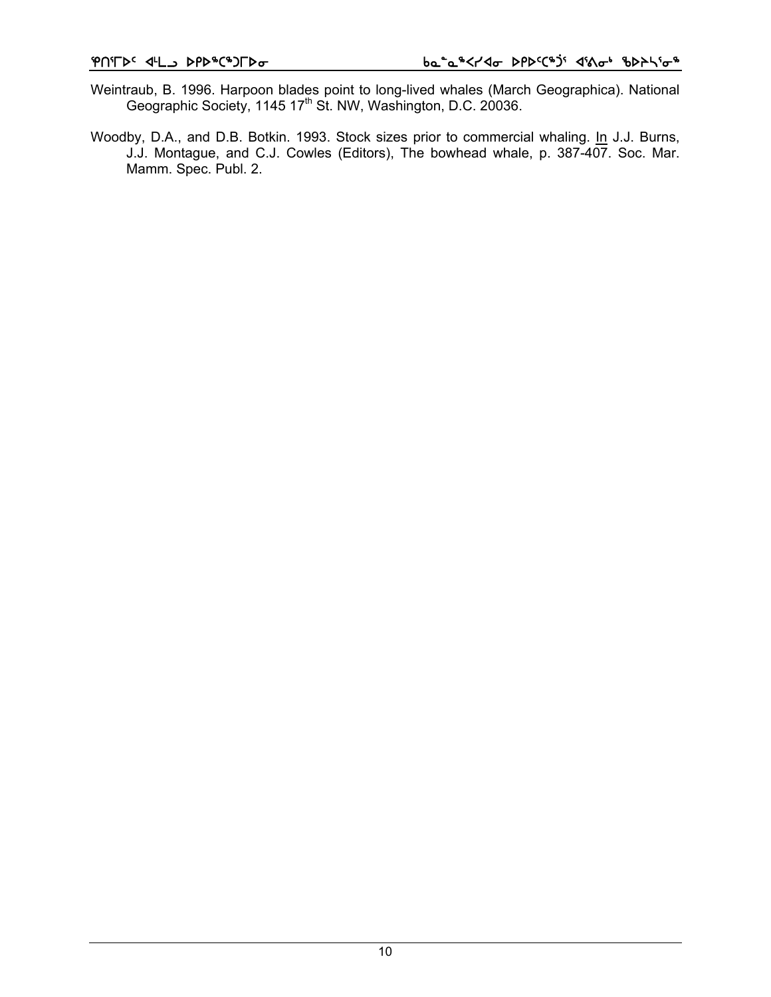- Weintraub, B. 1996. Harpoon blades point to long-lived whales (March Geographica). National Geographic Society, 1145 17<sup>th</sup> St. NW, Washington, D.C. 20036.
- Woodby, D.A., and D.B. Botkin. 1993. Stock sizes prior to commercial whaling. In J.J. Burns, J.J. Montague, and C.J. Cowles (Editors), The bowhead whale, p. 387-407. Soc. Mar. Mamm. Spec. Publ. 2.